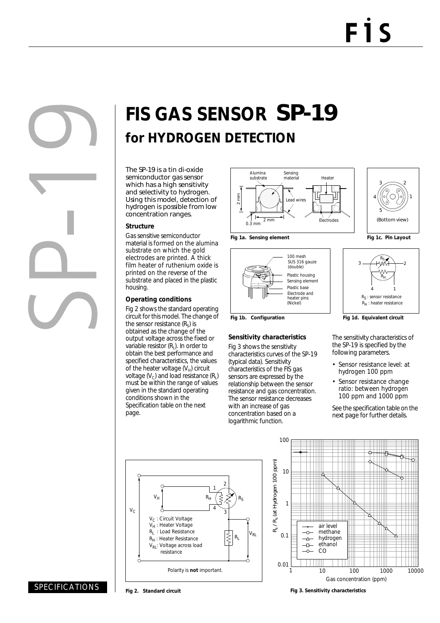# **FIS GAS SENSOR** SP-19 **for HYDROGEN DETECTION**

The SP-19 is a tin di-oxide semiconductor gas sensor which has a high sensitivity and selectivity to hydrogen. Using this model, detection of hydrogen is possible from low concentration ranges.

#### **Structure**

Gas sensitive semiconductor material is formed on the alumina substrate on which the gold electrodes are printed. A thick film heater of ruthenium oxide is printed on the reverse of the substrate and placed in the plastic housing.

#### **Operating conditions**

Fig 2 shows the standard operating circuit for this model. The change of the sensor resistance  $(R_s)$  is obtained as the change of the output voltage across the fixed or variable resistor  $(R<sub>1</sub>)$ . In order to obtain the best performance and specified characteristics, the values of the heater voltage  $(V_H)$  circuit voltage  $(V<sub>C</sub>)$  and load resistance  $(R<sub>L</sub>)$ must be within the range of values given in the standard operating conditions shown in the Specification table on the next page.



100 mesh SUS 316 gauze

(double)

Electrode and (Nickel)

heater pins

**Sensitivity characteristics** Fig 3 shows the sensitivity characteristics curves of the SP-19

(typical data). Sensitivity characteristics of the FIS gas sensors are expressed by the relationship between the sensor resistance and gas concentration. The sensor resistance decreases with an increase of gas concentration based on a logarithmic function.

Plastic housing

Sensing element Plastic base





Fig 1b. Configuration **Fig 1d. Equivalent circuit** 

The sensitivity characteristics of the SP-19 is specified by the following parameters.

- Sensor resistance level: at hydrogen 100 ppm
- Sensor resistance change ratio: between hydrogen 100 ppm and 1000 ppm

See the specification table on the next page for further details.





### SPECIFICATIONS

**Fig 2. Standard circuit**

**Fig 3. Sensitivity characteristics**